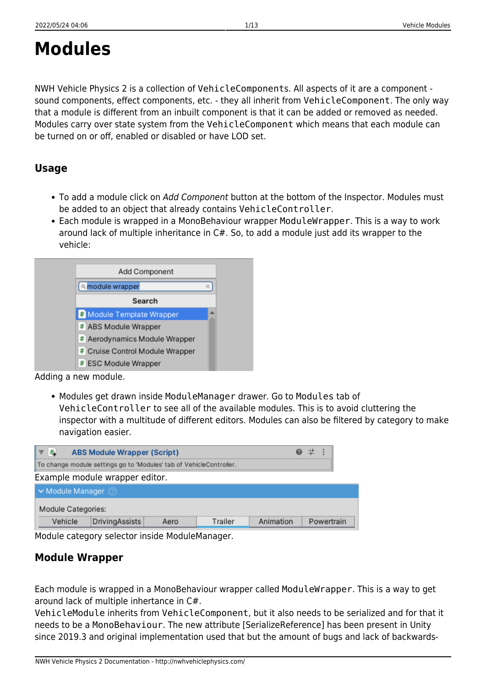# <span id="page-0-0"></span>**Modules**

NWH Vehicle Physics 2 is a collection of VehicleComponents. All aspects of it are a component sound components, effect components, etc. - they all inherit from VehicleComponent. The only way that a module is different from an inbuilt component is that it can be added or removed as needed. Modules carry over state system from the VehicleComponent which means that each module can be turned on or off, enabled or disabled or have LOD set.

## **Usage**

- To add a module click on Add Component button at the bottom of the Inspector. Modules must be added to an object that already contains VehicleController.
- Each module is wrapped in a MonoBehaviour wrapper ModuleWrapper. This is a way to work around lack of multiple inheritance in C#. So, to add a module just add its wrapper to the vehicle:



- Adding a new module.
	- Modules get drawn inside ModuleManager drawer. Go to Modules tab of VehicleController to see all of the available modules. This is to avoid cluttering the inspector with a multitude of different editors. Modules can also be filtered by category to make navigation easier.

| #<br><b>ABS Module Wrapper (Script)</b>                             |                |      |         | ❷ 芏 :     |  |            |
|---------------------------------------------------------------------|----------------|------|---------|-----------|--|------------|
| To change module settings go to 'Modules' tab of VehicleController. |                |      |         |           |  |            |
| Example module wrapper editor.                                      |                |      |         |           |  |            |
| Module Manager                                                      |                |      |         |           |  |            |
| Module Categories:                                                  |                |      |         |           |  |            |
| Vehicle                                                             | DrivingAssists | Aero | Trailer | Animation |  | Powertrain |

## **Module Wrapper**

Each module is wrapped in a MonoBehaviour wrapper called ModuleWrapper. This is a way to get around lack of multiple inhertance in C#.

VehicleModule inherits from VehicleComponent, but it also needs to be serialized and for that it needs to be a MonoBehaviour. The new attribute [SerializeReference] has been present in Unity since 2019.3 and original implementation used that but the amount of bugs and lack of backwards-

Module category selector inside ModuleManager.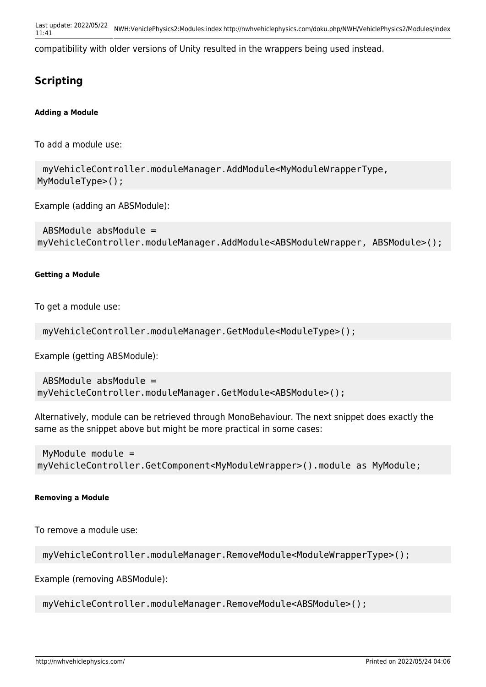compatibility with older versions of Unity resulted in the wrappers being used instead.

# **Scripting**

**Adding a Module**

To add a module use:

 myVehicleController.moduleManager.AddModule<MyModuleWrapperType, MyModuleType>();

Example (adding an ABSModule):

```
 ABSModule absModule =
myVehicleController.moduleManager.AddModule<ABSModuleWrapper, ABSModule>();
```
#### **Getting a Module**

To get a module use:

```
 myVehicleController.moduleManager.GetModule<ModuleType>();
```
Example (getting ABSModule):

```
 ABSModule absModule =
myVehicleController.moduleManager.GetModule<ABSModule>();
```
Alternatively, module can be retrieved through MonoBehaviour. The next snippet does exactly the same as the snippet above but might be more practical in some cases:

 MyModule module = myVehicleController.GetComponent<MyModuleWrapper>().module as MyModule;

#### **Removing a Module**

To remove a module use:

```
 myVehicleController.moduleManager.RemoveModule<ModuleWrapperType>();
```
Example (removing ABSModule):

myVehicleController.moduleManager.RemoveModule<ABSModule>();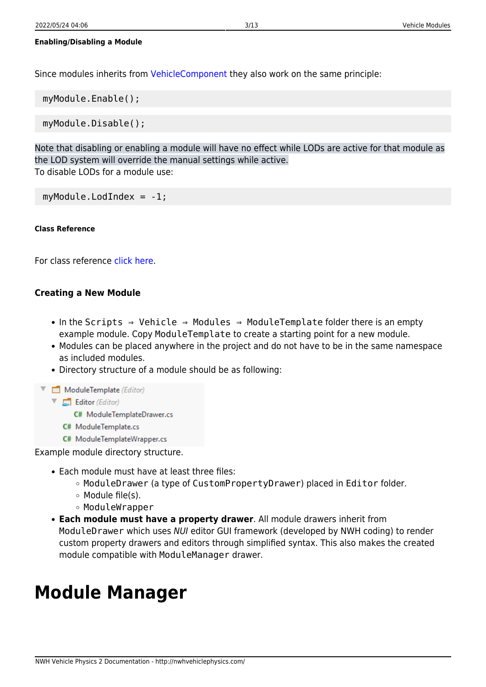#### **Enabling/Disabling a Module**

Since modules inherits from [VehicleComponent](http://nwhvehiclephysics.com/doku.php/NWH/VehiclePhysics2/VehicleComponent) they also work on the same principle:

myModule.Enable();

myModule.Disable();

Note that disabling or enabling a module will have no effect while LODs are active for that module as the LOD system will override the manual settings while active. To disable LODs for a module use:

myModule.LodIndex = -1;

#### **Class Reference**

For class reference [click here.](http://46.101.247.190:9989/class_n_w_h_1_1_vehicle_physics_1_1_modules_1_1_vehicle_module.html)

#### **Creating a New Module**

- In the Scripts ⇒ Vehicle ⇒ Modules ⇒ ModuleTemplate folder there is an empty example module. Copy ModuleTemplate to create a starting point for a new module.
- Modules can be placed anywhere in the project and do not have to be in the same namespace as included modules.
- Directory structure of a module should be as following:

ModuleTemplate (Editor)

- $\nabla$   $\Box$  Editor (Editor)
	- C# ModuleTemplateDrawer.cs
	- C# ModuleTemplate.cs
- C# ModuleTemplateWrapper.cs

Example module directory structure.

- Each module must have at least three files:
	- o ModuleDrawer (a type of CustomPropertyDrawer) placed in Editor folder.
	- Module file(s).
	- ModuleWrapper
- **Each module must have a property drawer**. All module drawers inherit from ModuleDrawer which uses NUI editor GUI framework (developed by NWH coding) to render custom property drawers and editors through simplified syntax. This also makes the created module compatible with ModuleManager drawer.

# **Module Manager**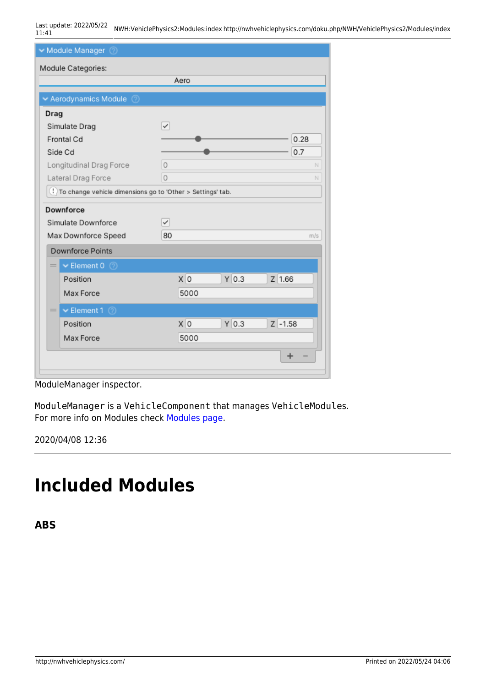Last update: 2022/05/22 11:41 NWH:VehiclePhysics2:Modules:index http://nwhvehiclephysics.com/doku.php/NWH/VehiclePhysics2/Modules/index

| Module Manager 2                                                        |          |         |            |  |
|-------------------------------------------------------------------------|----------|---------|------------|--|
| Module Categories:                                                      |          |         |            |  |
| Aero                                                                    |          |         |            |  |
| Aerodynamics Module<br>$\circ$                                          |          |         |            |  |
| Drag                                                                    |          |         |            |  |
| Simulate Drag                                                           | ✓        |         |            |  |
| Frontal Cd                                                              |          |         | 0.28       |  |
| Side Cd                                                                 |          |         | 0.7        |  |
| Longitudinal Drag Force                                                 | $\circ$  |         | N          |  |
| Lateral Drag Force                                                      | $\Omega$ |         | N          |  |
| <sup>1</sup> To change vehicle dimensions go to 'Other > Settings' tab. |          |         |            |  |
| Downforce                                                               |          |         |            |  |
| Simulate Downforce                                                      | ✓        |         |            |  |
| Max Downforce Speed                                                     | 80       |         | m/s        |  |
| <b>Downforce Points</b>                                                 |          |         |            |  |
| $\vee$ Element 0 $\circledcirc$<br>$=$                                  |          |         |            |  |
| Position                                                                | x 0      | $Y$ 0.3 | $Z$ 1.66   |  |
| Max Force                                                               | 5000     |         |            |  |
| $\blacktriangleright$ Element 1 (2)<br>$=$ $\overline{ }$               |          |         |            |  |
| Position                                                                | X O      | $Y$ 0.3 | $Z - 1.58$ |  |
| Max Force                                                               | 5000     |         |            |  |
|                                                                         |          |         | ٠          |  |
|                                                                         |          |         |            |  |

ModuleManager inspector.

ModuleManager is a VehicleComponent that manages VehicleModules. For more info on Modules check [Modules page](#page-0-0).

2020/04/08 12:36

# **Included Modules**

**ABS**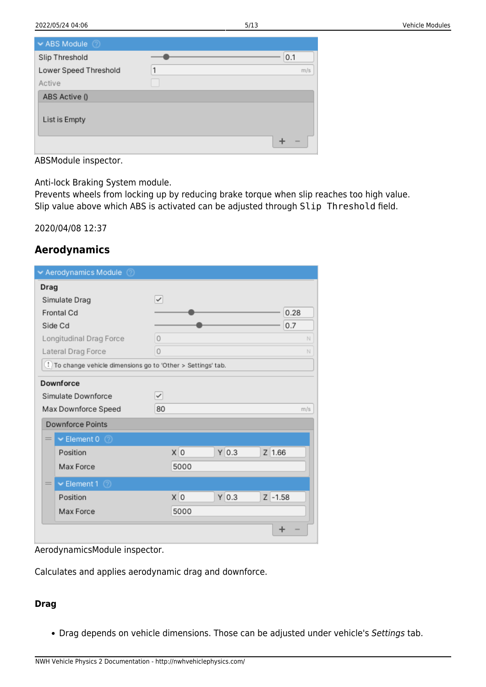| $\blacktriangleright$ ABS Module |   |     |
|----------------------------------|---|-----|
| Slip Threshold                   |   | 0.1 |
| Lower Speed Threshold            | 1 | m/s |
| Active                           |   |     |
| ABS Active ()                    |   |     |
| List is Empty                    |   |     |
|                                  |   |     |

ABSModule inspector.

Anti-lock Braking System module.

Prevents wheels from locking up by reducing brake torque when slip reaches too high value. Slip value above which ABS is activated can be adjusted through Slip Threshold field.

2020/04/08 12:37

## **Aerodynamics**

| Aerodynamics Module<br>$\circ$                                          |                              |  |
|-------------------------------------------------------------------------|------------------------------|--|
| Drag                                                                    |                              |  |
| Simulate Drag                                                           | $\checkmark$                 |  |
| Frontal Cd                                                              | 0.28                         |  |
| Side Cd                                                                 | 0.7                          |  |
| Longitudinal Drag Force                                                 | 0<br>N                       |  |
| Lateral Drag Force                                                      | 0<br>N                       |  |
| <sup>1</sup> To change vehicle dimensions go to 'Other > Settings' tab. |                              |  |
| Downforce                                                               |                              |  |
| Simulate Downforce                                                      | ✓                            |  |
| Max Downforce Speed                                                     | 80<br>m/s                    |  |
| <b>Downforce Points</b>                                                 |                              |  |
| $\blacktriangleright$ Element 0 $\oslash$<br>$=$                        |                              |  |
| Position                                                                | X O<br>$Y$ 0.3<br>$Z$ 1.66   |  |
| Max Force                                                               | 5000                         |  |
| $\blacktriangleright$ Element 1 $\oslash$<br>$=$                        |                              |  |
| Position                                                                | X O<br>$Y$ 0.3<br>$Z - 1.58$ |  |
| Max Force                                                               | 5000                         |  |
|                                                                         |                              |  |

AerodynamicsModule inspector.

Calculates and applies aerodynamic drag and downforce.

#### **Drag**

• Drag depends on vehicle dimensions. Those can be adjusted under vehicle's Settings tab.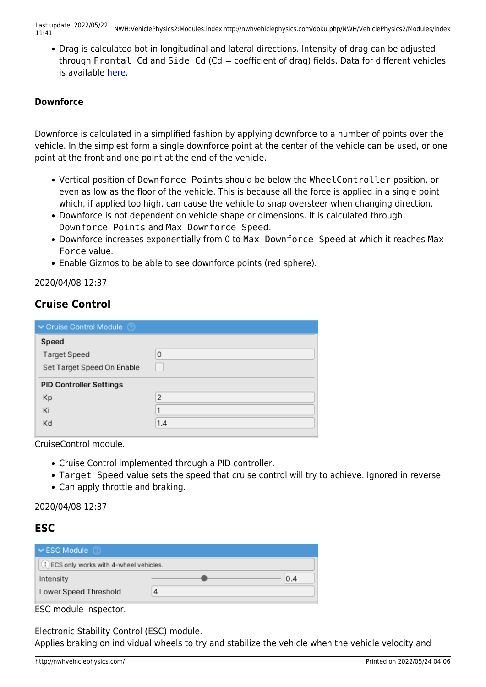Drag is calculated bot in longitudinal and lateral directions. Intensity of drag can be adjusted through Frontal Cd and Side Cd (Cd = coefficient of drag) fields. Data for different vehicles is available [here.](https://en.wikipedia.org/wiki/Automobile_drag_coefficient)

#### **Downforce**

Downforce is calculated in a simplified fashion by applying downforce to a number of points over the vehicle. In the simplest form a single downforce point at the center of the vehicle can be used, or one point at the front and one point at the end of the vehicle.

- Vertical position of Downforce Points should be below the WheelController position, or even as low as the floor of the vehicle. This is because all the force is applied in a single point which, if applied too high, can cause the vehicle to snap oversteer when changing direction.
- Downforce is not dependent on vehicle shape or dimensions. It is calculated through Downforce Points and Max Downforce Speed.
- Downforce increases exponentially from 0 to Max Downforce Speed at which it reaches Max Force value.
- Enable Gizmos to be able to see downforce points (red sphere).

2020/04/08 12:37

## **Cruise Control**

| Cruise Control Module          |                |
|--------------------------------|----------------|
| Speed                          |                |
| <b>Target Speed</b>            | 0              |
| Set Target Speed On Enable     |                |
| <b>PID Controller Settings</b> |                |
| Kp                             | $\overline{2}$ |
| Ki                             |                |
| Kd                             | 1.4            |

CruiseControl module.

- Cruise Control implemented through a PID controller.
- Target Speed value sets the speed that cruise control will try to achieve. Ignored in reverse.
- Can apply throttle and braking.

#### 2020/04/08 12:37

## **ESC**

| $\triangleright$ ESC Module                        |  |     |  |  |
|----------------------------------------------------|--|-----|--|--|
| <sup>1</sup> ECS only works with 4-wheel vehicles. |  |     |  |  |
| Intensity                                          |  | 0.4 |  |  |
| Lower Speed Threshold                              |  |     |  |  |
|                                                    |  |     |  |  |

ESC module inspector.

Electronic Stability Control (ESC) module.

Applies braking on individual wheels to try and stabilize the vehicle when the vehicle velocity and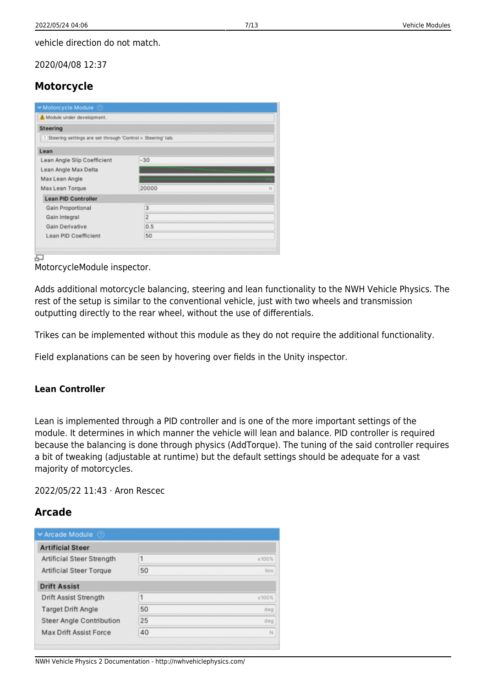vehicle direction do not match.

2020/04/08 12:37

## **Motorcycle**

| Module under development.                                   |                |   |
|-------------------------------------------------------------|----------------|---|
| Steering                                                    |                |   |
| Steering settings are set through 'Control > Steering' tab. |                |   |
| Lean                                                        |                |   |
| Lean Angle Slip Coefficient                                 | $-30$          |   |
| Lean Angle Max Delta                                        |                |   |
| Max Lean Angle                                              |                |   |
| Max Lean Torque                                             | 20000          | N |
| <b>Lean PID Controller</b>                                  |                |   |
| Gain Proportional                                           | 3              |   |
| Gain Integral                                               | $\overline{2}$ |   |
| Gain Derivative                                             | 0.5            |   |
| Lean PID Coefficient                                        | 50             |   |

MotorcycleModule inspector.

Adds additional motorcycle balancing, steering and lean functionality to the NWH Vehicle Physics. The rest of the setup is similar to the conventional vehicle, just with two wheels and transmission outputting directly to the rear wheel, without the use of differentials.

Trikes can be implemented without this module as they do not require the additional functionality.

Field explanations can be seen by hovering over fields in the Unity inspector.

#### **Lean Controller**

Lean is implemented through a PID controller and is one of the more important settings of the module. It determines in which manner the vehicle will lean and balance. PID controller is required because the balancing is done through physics (AddTorque). The tuning of the said controller requires a bit of tweaking (adjustable at runtime) but the default settings should be adequate for a vast majority of motorcycles.

2022/05/22 11:43 · Aron Rescec

## **Arcade**

| ► Arcade Module                |    |       |
|--------------------------------|----|-------|
| <b>Artificial Steer</b>        |    |       |
| Artificial Steer Strength      | 1  | x100% |
| <b>Artificial Steer Torque</b> | 50 | Nm    |
| <b>Drift Assist</b>            |    |       |
| Drift Assist Strength          | 1  | x100% |
| Target Drift Angle             | 50 | deg   |
| Steer Angle Contribution       | 25 | deg   |
| Max Drift Assist Force         | 40 | N     |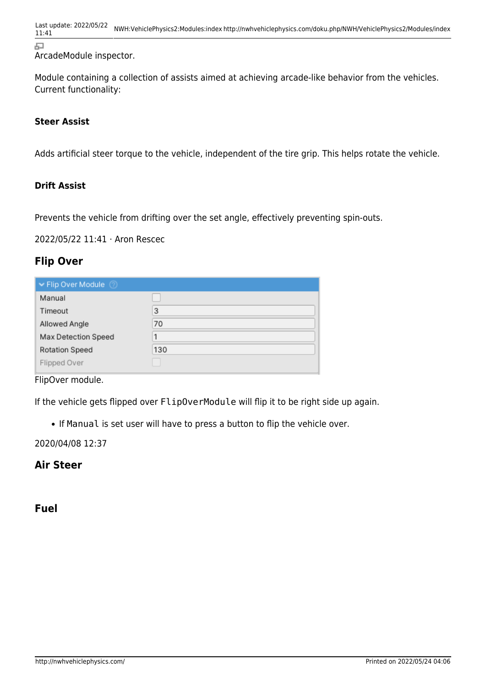Last update: 2022/05/22 11:41 NWH:VehiclePhysics2:Modules:index http://nwhvehiclephysics.com/doku.php/NWH/VehiclePhysics2/Modules/index

石

ArcadeModule inspector.

Module containing a collection of assists aimed at achieving arcade-like behavior from the vehicles. Current functionality:

#### **Steer Assist**

Adds artificial steer torque to the vehicle, independent of the tire grip. This helps rotate the vehicle.

#### **Drift Assist**

Prevents the vehicle from drifting over the set angle, effectively preventing spin-outs.

2022/05/22 11:41 · Aron Rescec

### **Flip Over**

| ► Flip Over Module    |     |
|-----------------------|-----|
| Manual                |     |
| Timeout               | 3   |
| Allowed Angle         | 70  |
| Max Detection Speed   |     |
| <b>Rotation Speed</b> | 130 |
| Flipped Over          |     |

FlipOver module.

If the vehicle gets flipped over FlipOverModule will flip it to be right side up again.

If Manual is set user will have to press a button to flip the vehicle over.

2020/04/08 12:37

## **Air Steer**

**Fuel**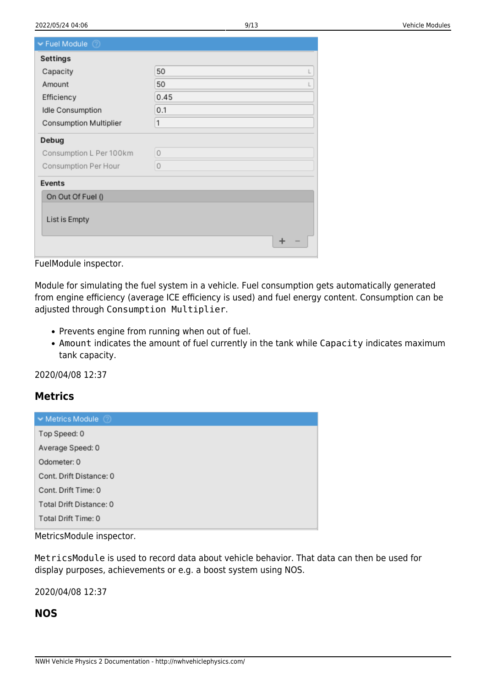| $\blacktriangleright$ Fuel Module $\oslash$ |         |
|---------------------------------------------|---------|
| <b>Settings</b>                             |         |
| Capacity                                    | 50      |
| Amount                                      | 50      |
| Efficiency                                  | 0.45    |
| Idle Consumption                            | 0.1     |
| Consumption Multiplier                      | 1       |
| Debug                                       |         |
| Consumption L Per 100km                     | $\circ$ |
| Consumption Per Hour                        | $\circ$ |
| Events                                      |         |
| On Out Of Fuel ()                           |         |
|                                             |         |
| List is Empty                               |         |
|                                             |         |
|                                             |         |

FuelModule inspector.

Module for simulating the fuel system in a vehicle. Fuel consumption gets automatically generated from engine efficiency (average ICE efficiency is used) and fuel energy content. Consumption can be adjusted through Consumption Multiplier.

- Prevents engine from running when out of fuel.
- Amount indicates the amount of fuel currently in the tank while Capacity indicates maximum tank capacity.

2020/04/08 12:37

#### **Metrics**

| $\blacktriangleright$ Metrics Module<br>m |
|-------------------------------------------|
| Top Speed: 0                              |
| Average Speed: 0                          |
| Odometer: 0                               |
| Cont. Drift Distance: 0                   |
| Cont. Drift Time: 0                       |
| Total Drift Distance: 0                   |
| Total Drift Time: 0                       |

MetricsModule inspector.

MetricsModule is used to record data about vehicle behavior. That data can then be used for display purposes, achievements or e.g. a boost system using NOS.

2020/04/08 12:37

## **NOS**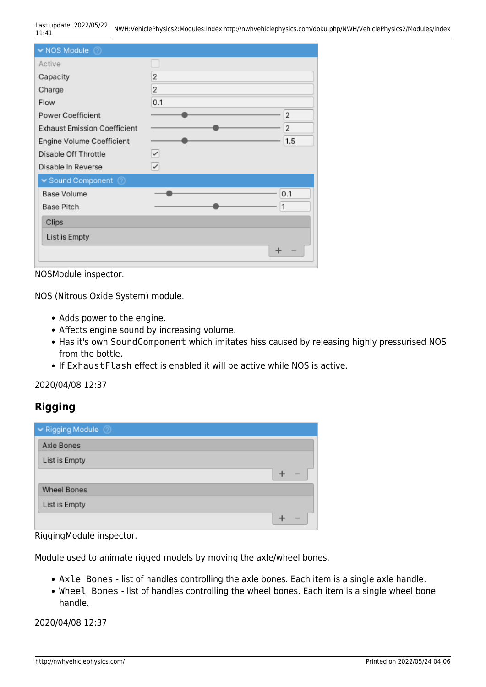Last update: 2022/05/22 11:41 NWH:VehiclePhysics2:Modules:index http://nwhvehiclephysics.com/doku.php/NWH/VehiclePhysics2/Modules/index

| $\blacktriangleright$ NOS Module $\oslash$ |                |
|--------------------------------------------|----------------|
| Active                                     |                |
| Capacity                                   | 2              |
| Charge                                     | $\overline{2}$ |
| Flow                                       | 0.1            |
| Power Coefficient                          | 2              |
| <b>Exhaust Emission Coefficient</b>        | 2              |
| Engine Volume Coefficient                  | 1.5            |
| Disable Off Throttle                       | ✓              |
| Disable In Reverse                         | $\checkmark$   |
| $\sim$ Sound Component $\oslash$           |                |
| Base Volume                                | 0.1            |
| Base Pitch                                 | 1              |
| Clips                                      |                |
| List is Empty                              |                |
|                                            | ÷              |

NOSModule inspector.

NOS (Nitrous Oxide System) module.

- Adds power to the engine.
- Affects engine sound by increasing volume.
- Has it's own SoundComponent which imitates hiss caused by releasing highly pressurised NOS from the bottle.
- If ExhaustFlash effect is enabled it will be active while NOS is active.

2020/04/08 12:37

## **Rigging**

| ► Rigging Module   |  |
|--------------------|--|
| Axle Bones         |  |
| List is Empty      |  |
|                    |  |
| <b>Wheel Bones</b> |  |
| List is Empty      |  |
|                    |  |

RiggingModule inspector.

Module used to animate rigged models by moving the axle/wheel bones.

- Axle Bones list of handles controlling the axle bones. Each item is a single axle handle.
- Wheel Bones list of handles controlling the wheel bones. Each item is a single wheel bone handle.

2020/04/08 12:37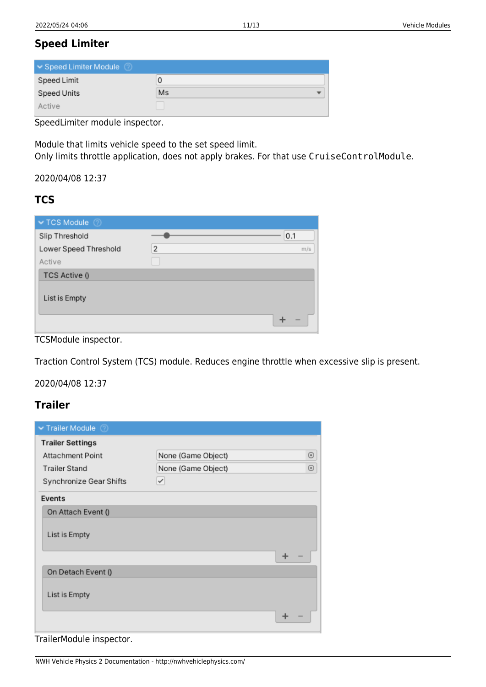## **Speed Limiter**

| Speed Limiter Module |         |
|----------------------|---------|
| Speed Limit          | υ       |
| Speed Units          | Ms<br>▼ |
| Active               |         |

SpeedLimiter module inspector.

Module that limits vehicle speed to the set speed limit. Only limits throttle application, does not apply brakes. For that use CruiseControlModule.

2020/04/08 12:37

## **TCS**

| $\blacktriangleright$ TCS Module |   |     |
|----------------------------------|---|-----|
| Slip Threshold                   |   | 0.1 |
| Lower Speed Threshold            | 2 | m/s |
| Active                           |   |     |
| TCS Active ()                    |   |     |
| List is Empty                    |   |     |
|                                  |   |     |

TCSModule inspector.

Traction Control System (TCS) module. Reduces engine throttle when excessive slip is present.

2020/04/08 12:37

## **Trailer**

<span id="page-10-0"></span>

| ▼ Trailer Module<br>൚   |                    |            |
|-------------------------|--------------------|------------|
| <b>Trailer Settings</b> |                    |            |
| <b>Attachment Point</b> | None (Game Object) | ⊙          |
| <b>Trailer Stand</b>    | None (Game Object) | $_{\odot}$ |
| Synchronize Gear Shifts | $\checkmark$       |            |
| Events                  |                    |            |
| On Attach Event ()      |                    |            |
| List is Empty           |                    |            |
|                         |                    | ÷          |
| On Detach Event ()      |                    |            |
| List is Empty           |                    |            |
|                         |                    |            |

TrailerModule inspector.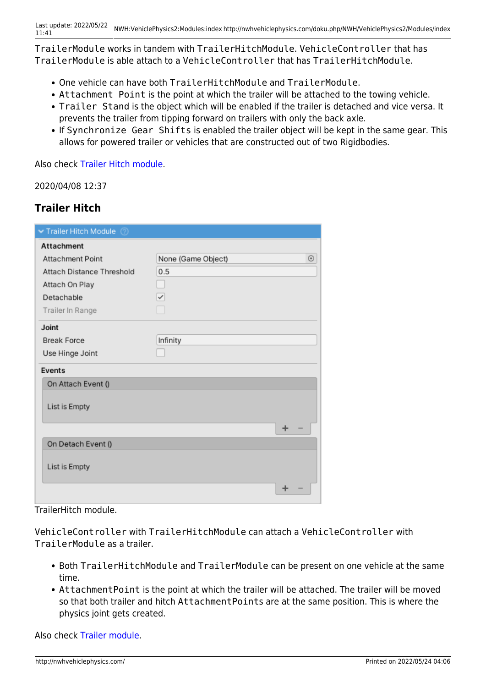TrailerModule works in tandem with TrailerHitchModule. VehicleController that has TrailerModule is able attach to a VehicleController that has TrailerHitchModule.

- One vehicle can have both TrailerHitchModule and TrailerModule.
- Attachment Point is the point at which the trailer will be attached to the towing vehicle.
- Trailer Stand is the object which will be enabled if the trailer is detached and vice versa. It prevents the trailer from tipping forward on trailers with only the back axle.
- If Synchronize Gear Shifts is enabled the trailer object will be kept in the same gear. This allows for powered trailer or vehicles that are constructed out of two Rigidbodies.

Also check [Trailer Hitch module.](#page-11-0)

2020/04/08 12:37

## **Trailer Hitch**

<span id="page-11-0"></span>

| $\blacktriangleright$ Trailer Hitch Module $\oslash$ |                                  |  |
|------------------------------------------------------|----------------------------------|--|
| <b>Attachment</b>                                    |                                  |  |
| <b>Attachment Point</b>                              | $_{\odot}$<br>None (Game Object) |  |
| Attach Distance Threshold                            | 0.5                              |  |
| Attach On Play                                       |                                  |  |
| Detachable                                           | $\checkmark$                     |  |
| Trailer In Range                                     |                                  |  |
| Joint                                                |                                  |  |
| <b>Break Force</b>                                   | Infinity                         |  |
| Use Hinge Joint                                      |                                  |  |
| Events                                               |                                  |  |
| On Attach Event ()                                   |                                  |  |
| List is Empty                                        |                                  |  |
|                                                      | +                                |  |
| On Detach Event ()                                   |                                  |  |
| List is Empty                                        |                                  |  |
|                                                      |                                  |  |

TrailerHitch module.

VehicleController with TrailerHitchModule can attach a VehicleController with TrailerModule as a trailer.

- Both TrailerHitchModule and TrailerModule can be present on one vehicle at the same time.
- AttachmentPoint is the point at which the trailer will be attached. The trailer will be moved so that both trailer and hitch AttachmentPoints are at the same position. This is where the physics joint gets created.

Also check [Trailer module.](#page-10-0)